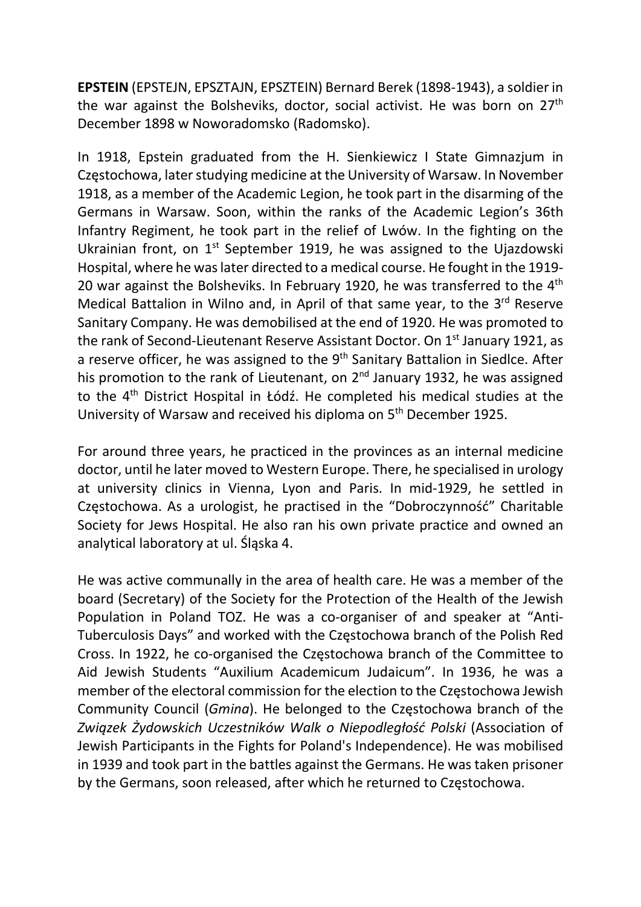EPSTEIN (EPSTEJN, EPSZTAJN, EPSZTEIN) Bernard Berek (1898-1943), a soldier in the war against the Bolsheviks, doctor, social activist. He was born on 27<sup>th</sup> December 1898 w Noworadomsko (Radomsko).

In 1918, Epstein graduated from the H. Sienkiewicz I State Gimnazjum in Częstochowa, later studying medicine at the University of Warsaw. In November 1918, as a member of the Academic Legion, he took part in the disarming of the Germans in Warsaw. Soon, within the ranks of the Academic Legion's 36th Infantry Regiment, he took part in the relief of Lwów. In the fighting on the Ukrainian front, on  $1<sup>st</sup>$  September 1919, he was assigned to the Ujazdowski Hospital, where he was later directed to a medical course. He fought in the 1919- 20 war against the Bolsheviks. In February 1920, he was transferred to the 4<sup>th</sup> Medical Battalion in Wilno and, in April of that same year, to the 3<sup>rd</sup> Reserve Sanitary Company. He was demobilised at the end of 1920. He was promoted to the rank of Second-Lieutenant Reserve Assistant Doctor. On 1<sup>st</sup> January 1921, as a reserve officer, he was assigned to the  $9<sup>th</sup>$  Sanitary Battalion in Siedlce. After his promotion to the rank of Lieutenant, on  $2<sup>nd</sup>$  January 1932, he was assigned to the 4th District Hospital in Łódź. He completed his medical studies at the University of Warsaw and received his diploma on 5th December 1925.

For around three years, he practiced in the provinces as an internal medicine doctor, until he later moved to Western Europe. There, he specialised in urology at university clinics in Vienna, Lyon and Paris. In mid-1929, he settled in Częstochowa. As a urologist, he practised in the "Dobroczynność" Charitable Society for Jews Hospital. He also ran his own private practice and owned an analytical laboratory at ul. Śląska 4.

He was active communally in the area of health care. He was a member of the board (Secretary) of the Society for the Protection of the Health of the Jewish Population in Poland TOZ. He was a co-organiser of and speaker at "Anti-Tuberculosis Days" and worked with the Częstochowa branch of the Polish Red Cross. In 1922, he co-organised the Częstochowa branch of the Committee to Aid Jewish Students "Auxilium Academicum Judaicum". In 1936, he was a member of the electoral commission for the election to the Częstochowa Jewish Community Council (Gmina). He belonged to the Częstochowa branch of the Związek Żydowskich Uczestników Walk o Niepodległość Polski (Association of Jewish Participants in the Fights for Poland's Independence). He was mobilised in 1939 and took part in the battles against the Germans. He was taken prisoner by the Germans, soon released, after which he returned to Częstochowa.